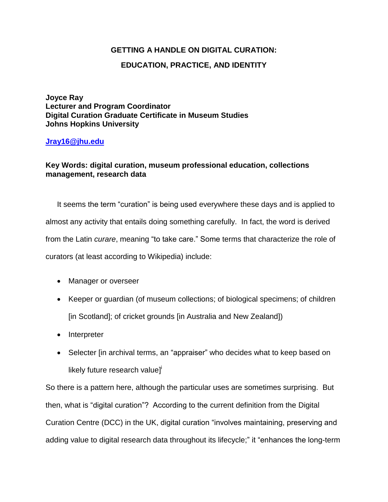## **GETTING A HANDLE ON DIGITAL CURATION:**

## **EDUCATION, PRACTICE, AND IDENTITY**

**Joyce Ray Lecturer and Program Coordinator Digital Curation Graduate Certificate in Museum Studies Johns Hopkins University** 

## **[Jray16@jhu.edu](mailto:Jray16@jhu.edu)**

## **Key Words: digital curation, museum professional education, collections management, research data**

It seems the term "curation" is being used everywhere these days and is applied to almost any activity that entails doing something carefully. In fact, the word is derived from the Latin *curare*, meaning "to take care." Some terms that characterize the role of curators (at least according to Wikipedia) include:

- Manager or overseer
- Keeper or guardian (of museum collections; of biological specimens; of children [in Scotland]; of cricket grounds [in Australia and New Zealand])
- Interpreter
- Selecter [in archival terms, an "appraiser" who decides what to keep based on likely future research value]<sup>i</sup>

So there is a pattern here, although the particular uses are sometimes surprising. But then, what is "digital curation"? According to the current definition from the Digital Curation Centre (DCC) in the UK, digital curation "involves maintaining, preserving and adding value to digital research data throughout its lifecycle;" it "enhances the long-term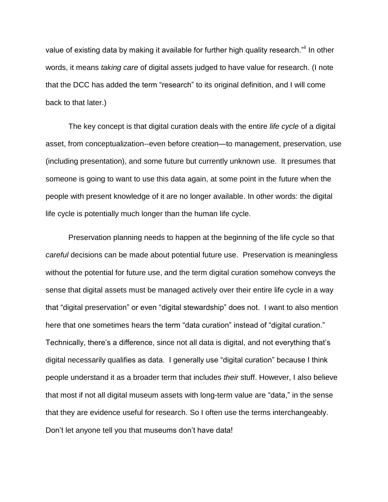value of existing data by making it available for further high quality research."ii In other words, it means *taking care* of digital assets judged to have value for research. (I note that the DCC has added the term "research" to its original definition, and I will come back to that later.)

The key concept is that digital curation deals with the entire *life cycle* of a digital asset, from conceptualization--even before creation—to management, preservation, use (including presentation), and some future but currently unknown use. It presumes that someone is going to want to use this data again, at some point in the future when the people with present knowledge of it are no longer available. In other words: the digital life cycle is potentially much longer than the human life cycle.

Preservation planning needs to happen at the beginning of the life cycle so that *careful* decisions can be made about potential future use. Preservation is meaningless without the potential for future use, and the term digital curation somehow conveys the sense that digital assets must be managed actively over their entire life cycle in a way that "digital preservation" or even "digital stewardship" does not. I want to also mention here that one sometimes hears the term "data curation" instead of "digital curation." Technically, there's a difference, since not all data is digital, and not everything that's digital necessarily qualifies as data. I generally use "digital curation" because I think people understand it as a broader term that includes *their* stuff. However, I also believe that most if not all digital museum assets with long-term value are "data," in the sense that they are evidence useful for research. So I often use the terms interchangeably. Don't let anyone tell you that museums don't have data!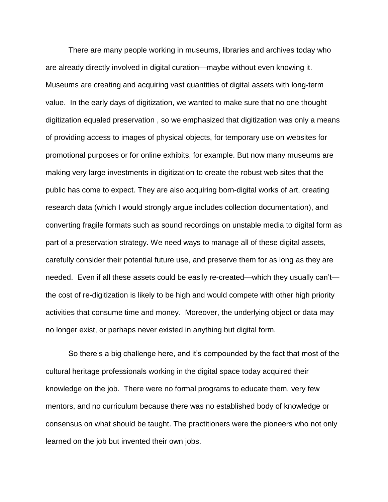There are many people working in museums, libraries and archives today who are already directly involved in digital curation—maybe without even knowing it. Museums are creating and acquiring vast quantities of digital assets with long-term value. In the early days of digitization, we wanted to make sure that no one thought digitization equaled preservation , so we emphasized that digitization was only a means of providing access to images of physical objects, for temporary use on websites for promotional purposes or for online exhibits, for example. But now many museums are making very large investments in digitization to create the robust web sites that the public has come to expect. They are also acquiring born-digital works of art, creating research data (which I would strongly argue includes collection documentation), and converting fragile formats such as sound recordings on unstable media to digital form as part of a preservation strategy. We need ways to manage all of these digital assets, carefully consider their potential future use, and preserve them for as long as they are needed. Even if all these assets could be easily re-created—which they usually can't the cost of re-digitization is likely to be high and would compete with other high priority activities that consume time and money. Moreover, the underlying object or data may no longer exist, or perhaps never existed in anything but digital form.

So there's a big challenge here, and it's compounded by the fact that most of the cultural heritage professionals working in the digital space today acquired their knowledge on the job. There were no formal programs to educate them, very few mentors, and no curriculum because there was no established body of knowledge or consensus on what should be taught. The practitioners were the pioneers who not only learned on the job but invented their own jobs.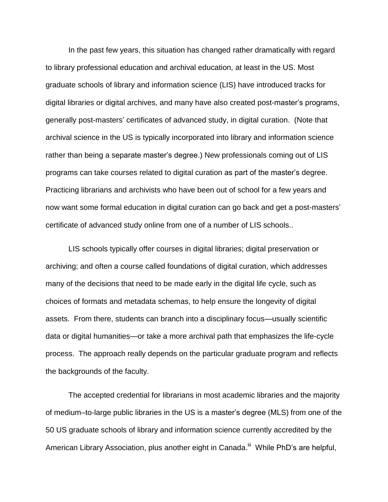In the past few years, this situation has changed rather dramatically with regard to library professional education and archival education, at least in the US. Most graduate schools of library and information science (LIS) have introduced tracks for digital libraries or digital archives, and many have also created post-master's programs, generally post-masters' certificates of advanced study, in digital curation. (Note that archival science in the US is typically incorporated into library and information science rather than being a separate master's degree.) New professionals coming out of LIS programs can take courses related to digital curation as part of the master's degree. Practicing librarians and archivists who have been out of school for a few years and now want some formal education in digital curation can go back and get a post-masters' certificate of advanced study online from one of a number of LIS schools..

LIS schools typically offer courses in digital libraries; digital preservation or archiving; and often a course called foundations of digital curation, which addresses many of the decisions that need to be made early in the digital life cycle, such as choices of formats and metadata schemas, to help ensure the longevity of digital assets. From there, students can branch into a disciplinary focus—usually scientific data or digital humanities—or take a more archival path that emphasizes the life-cycle process. The approach really depends on the particular graduate program and reflects the backgrounds of the faculty.

The accepted credential for librarians in most academic libraries and the majority of medium–to-large public libraries in the US is a master's degree (MLS) from one of the 50 US graduate schools of library and information science currently accredited by the American Library Association, plus another eight in Canada.<sup>iii</sup> While PhD's are helpful,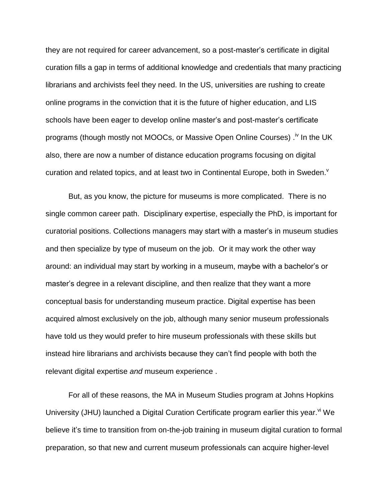they are not required for career advancement, so a post-master's certificate in digital curation fills a gap in terms of additional knowledge and credentials that many practicing librarians and archivists feel they need. In the US, universities are rushing to create online programs in the conviction that it is the future of higher education, and LIS schools have been eager to develop online master's and post-master's certificate programs (though mostly not MOOCs, or Massive Open Online Courses) .<sup>iv</sup> In the UK also, there are now a number of distance education programs focusing on digital curation and related topics, and at least two in Continental Europe, both in Sweden. $<sup>v</sup>$ </sup>

But, as you know, the picture for museums is more complicated. There is no single common career path. Disciplinary expertise, especially the PhD, is important for curatorial positions. Collections managers may start with a master's in museum studies and then specialize by type of museum on the job. Or it may work the other way around: an individual may start by working in a museum, maybe with a bachelor's or master's degree in a relevant discipline, and then realize that they want a more conceptual basis for understanding museum practice. Digital expertise has been acquired almost exclusively on the job, although many senior museum professionals have told us they would prefer to hire museum professionals with these skills but instead hire librarians and archivists because they can't find people with both the relevant digital expertise *and* museum experience .

For all of these reasons, the MA in Museum Studies program at Johns Hopkins University (JHU) launched a Digital Curation Certificate program earlier this year.<sup>vi</sup> We believe it's time to transition from on-the-job training in museum digital curation to formal preparation, so that new and current museum professionals can acquire higher-level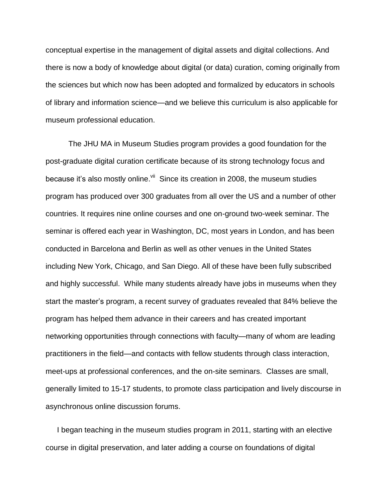conceptual expertise in the management of digital assets and digital collections. And there is now a body of knowledge about digital (or data) curation, coming originally from the sciences but which now has been adopted and formalized by educators in schools of library and information science—and we believe this curriculum is also applicable for museum professional education.

The JHU MA in Museum Studies program provides a good foundation for the post-graduate digital curation certificate because of its strong technology focus and because it's also mostly online. Vii Since its creation in 2008, the museum studies program has produced over 300 graduates from all over the US and a number of other countries. It requires nine online courses and one on-ground two-week seminar. The seminar is offered each year in Washington, DC, most years in London, and has been conducted in Barcelona and Berlin as well as other venues in the United States including New York, Chicago, and San Diego. All of these have been fully subscribed and highly successful. While many students already have jobs in museums when they start the master's program, a recent survey of graduates revealed that 84% believe the program has helped them advance in their careers and has created important networking opportunities through connections with faculty—many of whom are leading practitioners in the field—and contacts with fellow students through class interaction, meet-ups at professional conferences, and the on-site seminars. Classes are small, generally limited to 15-17 students, to promote class participation and lively discourse in asynchronous online discussion forums.

I began teaching in the museum studies program in 2011, starting with an elective course in digital preservation, and later adding a course on foundations of digital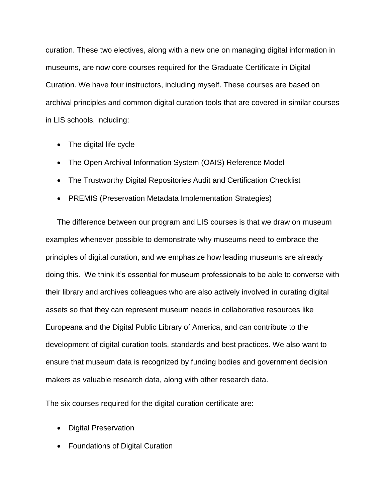curation. These two electives, along with a new one on managing digital information in museums, are now core courses required for the Graduate Certificate in Digital Curation. We have four instructors, including myself. These courses are based on archival principles and common digital curation tools that are covered in similar courses in LIS schools, including:

- The digital life cycle
- The Open Archival Information System (OAIS) Reference Model
- The Trustworthy Digital Repositories Audit and Certification Checklist
- PREMIS (Preservation Metadata Implementation Strategies)

The difference between our program and LIS courses is that we draw on museum examples whenever possible to demonstrate why museums need to embrace the principles of digital curation, and we emphasize how leading museums are already doing this. We think it's essential for museum professionals to be able to converse with their library and archives colleagues who are also actively involved in curating digital assets so that they can represent museum needs in collaborative resources like Europeana and the Digital Public Library of America, and can contribute to the development of digital curation tools, standards and best practices. We also want to ensure that museum data is recognized by funding bodies and government decision makers as valuable research data, along with other research data.

The six courses required for the digital curation certificate are:

- Digital Preservation
- Foundations of Digital Curation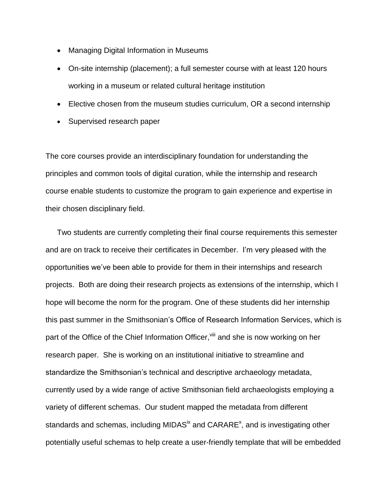- Managing Digital Information in Museums
- On-site internship (placement); a full semester course with at least 120 hours working in a museum or related cultural heritage institution
- Elective chosen from the museum studies curriculum, OR a second internship
- Supervised research paper

The core courses provide an interdisciplinary foundation for understanding the principles and common tools of digital curation, while the internship and research course enable students to customize the program to gain experience and expertise in their chosen disciplinary field.

Two students are currently completing their final course requirements this semester and are on track to receive their certificates in December. I'm very pleased with the opportunities we've been able to provide for them in their internships and research projects. Both are doing their research projects as extensions of the internship, which I hope will become the norm for the program. One of these students did her internship this past summer in the Smithsonian's Office of Research Information Services, which is part of the Office of the Chief Information Officer, vill and she is now working on her research paper. She is working on an institutional initiative to streamline and standardize the Smithsonian's technical and descriptive archaeology metadata, currently used by a wide range of active Smithsonian field archaeologists employing a variety of different schemas. Our student mapped the metadata from different standards and schemas, including MIDAS<sup>ix</sup> and CARARE<sup>x</sup>, and is investigating other potentially useful schemas to help create a user-friendly template that will be embedded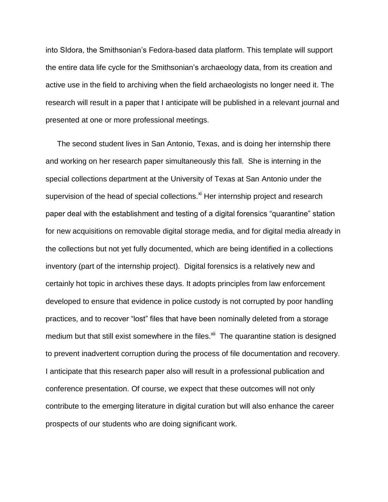into SIdora, the Smithsonian's Fedora-based data platform. This template will support the entire data life cycle for the Smithsonian's archaeology data, from its creation and active use in the field to archiving when the field archaeologists no longer need it. The research will result in a paper that I anticipate will be published in a relevant journal and presented at one or more professional meetings.

The second student lives in San Antonio, Texas, and is doing her internship there and working on her research paper simultaneously this fall. She is interning in the special collections department at the University of Texas at San Antonio under the supervision of the head of special collections.<sup>xi</sup> Her internship project and research paper deal with the establishment and testing of a digital forensics "quarantine" station for new acquisitions on removable digital storage media, and for digital media already in the collections but not yet fully documented, which are being identified in a collections inventory (part of the internship project). Digital forensics is a relatively new and certainly hot topic in archives these days. It adopts principles from law enforcement developed to ensure that evidence in police custody is not corrupted by poor handling practices, and to recover "lost" files that have been nominally deleted from a storage medium but that still exist somewhere in the files.<sup>xii</sup> The quarantine station is designed to prevent inadvertent corruption during the process of file documentation and recovery. I anticipate that this research paper also will result in a professional publication and conference presentation. Of course, we expect that these outcomes will not only contribute to the emerging literature in digital curation but will also enhance the career prospects of our students who are doing significant work.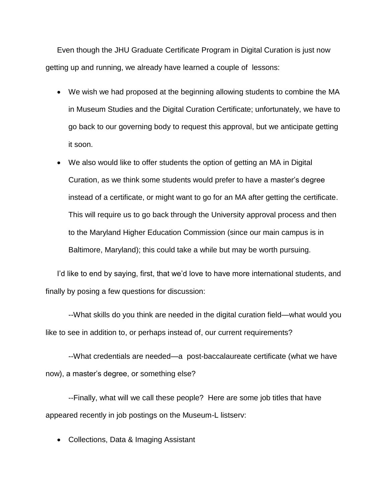Even though the JHU Graduate Certificate Program in Digital Curation is just now getting up and running, we already have learned a couple of lessons:

- We wish we had proposed at the beginning allowing students to combine the MA in Museum Studies and the Digital Curation Certificate; unfortunately, we have to go back to our governing body to request this approval, but we anticipate getting it soon.
- We also would like to offer students the option of getting an MA in Digital Curation, as we think some students would prefer to have a master's degree instead of a certificate, or might want to go for an MA after getting the certificate. This will require us to go back through the University approval process and then to the Maryland Higher Education Commission (since our main campus is in Baltimore, Maryland); this could take a while but may be worth pursuing.

I'd like to end by saying, first, that we'd love to have more international students, and finally by posing a few questions for discussion:

--What skills do you think are needed in the digital curation field—what would you like to see in addition to, or perhaps instead of, our current requirements?

--What credentials are needed—a post-baccalaureate certificate (what we have now), a master's degree, or something else?

--Finally, what will we call these people? Here are some job titles that have appeared recently in job postings on the Museum-L listserv:

• Collections, Data & Imaging Assistant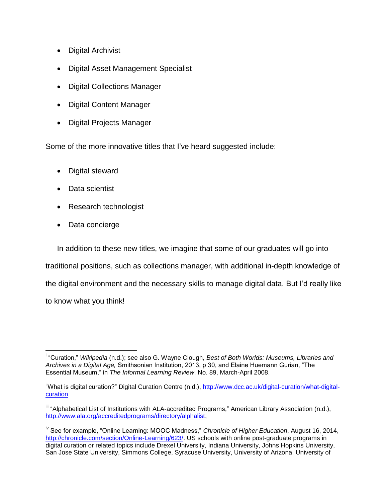- Digital Archivist
- Digital Asset Management Specialist
- Digital Collections Manager
- Digital Content Manager
- Digital Projects Manager

Some of the more innovative titles that I've heard suggested include:

- Digital steward
- Data scientist
- Research technologist
- Data concierge

In addition to these new titles, we imagine that some of our graduates will go into

traditional positions, such as collections manager, with additional in-depth knowledge of

the digital environment and the necessary skills to manage digital data. But I'd really like

to know what you think!

 $\overline{a}$ i "Curation," *Wikipedia* (n.d.); see also G. Wayne Clough, *Best of Both Worlds: Museums, Libraries and Archives in a Digital Age,* Smithsonian Institution, 2013, p 30, and Elaine Huemann Gurian, "The Essential Museum," in *The Informal Learning Review*, No. 89, March-April 2008.

<sup>&</sup>lt;sup>ii</sup>What is digital curation?" Digital Curation Centre (n.d.), [http://www.dcc.ac.uk/digital-curation/what-digital](http://www.dcc.ac.uk/digital-curation/what-digital-curation)[curation](http://www.dcc.ac.uk/digital-curation/what-digital-curation)

iii "Alphabetical List of Institutions with ALA-accredited Programs," American Library Association (n.d.), [http://www.ala.org/accreditedprograms/directory/alphalist;](http://www.ala.org/accreditedprograms/directory/alphalist)

iv See for example, "Online Learning: MOOC Madness," *Chronicle of Higher Education*, August 16, 2014, [http://chronicle.com/section/Online-Learning/623/.](http://chronicle.com/section/Online-Learning/623/) US schools with online post-graduate programs in digital curation or related topics include Drexel University, Indiana University, Johns Hopkins University, San Jose State University, Simmons College, Syracuse University, University of Arizona, University of